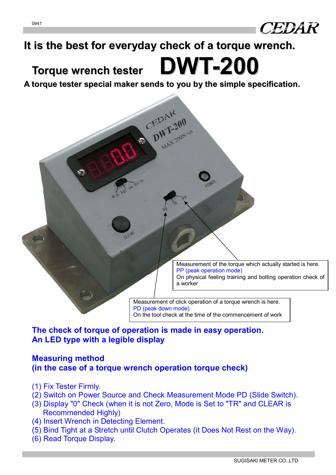

# **It is the best for everyday check of a torque wrench.**

# **Torque wrench tester DWT-200**

**A torque tester special maker sends to you by the simple specification.**

DWT-200

Measurement of the torque which actually started is here. PP (peak operation mode) On physical feeling training and bolting operation check of a worker

Measurement of click operation of a torque wrench is here. PD (peak down mode) On the tool check at the time of the commencement of work

## **The check of torque of operation is made in easy operation. An LED type with a legible display**

### **Measuring method (in the case of a torque wrench operation torque check)**

- (1) Fix Tester Firmly.
- (2) Switch on Power Source and Check Measurement Mode PD (Slide Switch).
- (3) Display "0" Check (when it is not Zero, Mode is Set to "TR" and CLEAR is Recommended Highly)
- (4) Insert Wrench in Detecting Element.
- (5) Bind Tight at a Stretch until Clutch Operates (it Does Not Rest on the Way).
- (6) Read Torque Display.